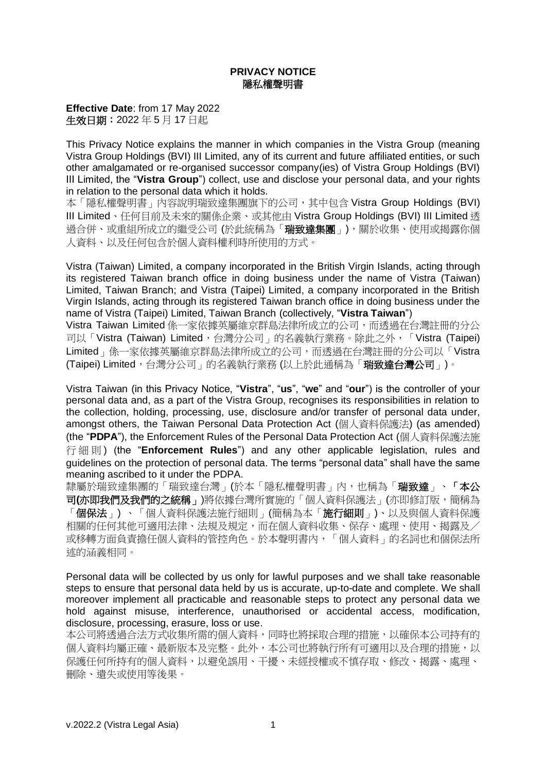## **PRIVACY NOTICE** 隱私權聲明書

**Effective Date**: from 17 May 2022 生效日期:2022 年 5 月 17 日起

This Privacy Notice explains the manner in which companies in the Vistra Group (meaning Vistra Group Holdings (BVI) III Limited, any of its current and future affiliated entities, or such other amalgamated or re-organised successor company(ies) of Vistra Group Holdings (BVI) III Limited, the "**Vistra Group**") collect, use and disclose your personal data, and your rights in relation to the personal data which it holds.

本「隱私權聲明書」內容說明瑞致達集團旗下的公司,其中包含 Vistra Group Holdings (BVI) III Limited、任何目前及未來的關係企業、或其他由 Vistra Group Holdings (BVI) III Limited 透 過合併、或重組所成立的繼受公司 (於此統稱為「**瑞致達集團」)**,關於收集、使用或揭露你個 人資料、以及任何包含於個人資料權利時所使用的方式。

Vistra (Taiwan) Limited, a company incorporated in the British Virgin Islands, acting through its registered Taiwan branch office in doing business under the name of Vistra (Taiwan) Limited, Taiwan Branch; and Vistra (Taipei) Limited, a company incorporated in the British Virgin Islands, acting through its registered Taiwan branch office in doing business under the name of Vistra (Taipei) Limited, Taiwan Branch (collectively, "**Vistra Taiwan**")

Vistra Taiwan Limited 係一家依據英屬維京群島法律所成立的公司,而透過在台灣註冊的分公 司以「Vistra (Taiwan) Limited,台灣分公司,的名義執行業務。除此之外,「Vistra (Taipei) Limited」係一家依據英屬維京群島法律所成立的公司,而透過在台灣註冊的分公司以「Vistra (Taipei) Limited,台灣分公司」的名義執行業務 (以上於此通稱為「瑞致達台灣公司」)。

Vistra Taiwan (in this Privacy Notice, "**Vistra**", "**us**", "**we**" and "**our**") is the controller of your personal data and, as a part of the Vistra Group, recognises its responsibilities in relation to the collection, holding, processing, use, disclosure and/or transfer of personal data under, amongst others, the Taiwan Personal Data Protection Act (個人資料保護法) (as amended) (the "**PDPA**"), the Enforcement Rules of the Personal Data Protection Act (個人資料保護法施 行細則 ) (the "**Enforcement Rules**") and any other applicable legislation, rules and guidelines on the protection of personal data. The terms "personal data" shall have the same meaning ascribed to it under the PDPA.

隸屬於瑞致達集團的「瑞致達台灣」(於本「隱私權聲明書」內,也稱為「**瑞致達」、「本公** 司(亦即我們及我們的之統稱」)將依據台灣所實施的「個人資料保護法」(亦即修訂版,簡稱為 「**個保法」) 、**「個人資料保護法施行細則」(簡稱為本「**施行細則」)、**以及與個人資料保護 相關的任何其他可適用法律、法規及規定,而在個人資料收集、保存、處理、使用、揭露及/ 或移轉方面負責擔任個人資料的管控角色。於本聲明書內,「個人資料」的名詞也和個保法所 述的涵義相同。

Personal data will be collected by us only for lawful purposes and we shall take reasonable steps to ensure that personal data held by us is accurate, up-to-date and complete. We shall moreover implement all practicable and reasonable steps to protect any personal data we hold against misuse, interference, unauthorised or accidental access, modification, disclosure, processing, erasure, loss or use.

本公司將透過合法方式收集所需的個人資料,同時也將採取合理的措施,以確保本公司持有的 個人資料均屬正確、最新版本及完整。此外,本公司也將執行所有可適用以及合理的措施,以 保護任何所持有的個人資料,以避免誤用、干擾、未經授權或不慎存取、修改、揭露、處理、 刪除、遺失或使用等後果。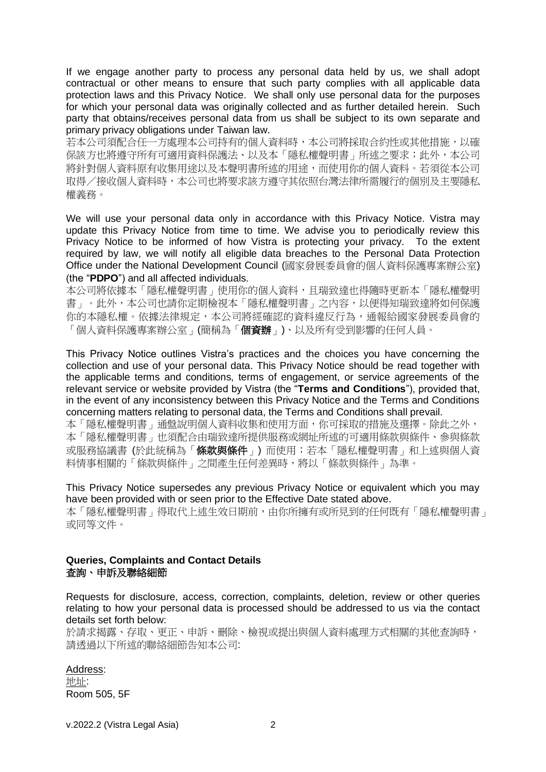If we engage another party to process any personal data held by us, we shall adopt contractual or other means to ensure that such party complies with all applicable data protection laws and this Privacy Notice. We shall only use personal data for the purposes for which your personal data was originally collected and as further detailed herein. Such party that obtains/receives personal data from us shall be subject to its own separate and primary privacy obligations under Taiwan law.

若本公司須配合任一方處理本公司持有的個人資料時,本公司將採取合約性或其他措施,以確 保該方也將遵守所有可適用資料保護法、以及本「隱私權聲明書」所述之要求;此外,本公司 將針對個人資料原有收集用途以及本聲明書所述的用途,而使用你的個人資料。若須從本公司 取得/接收個人資料時,本公司也將要求該方遵守其依照台灣法律所需履行的個別及主要隱私 權義務。

We will use your personal data only in accordance with this Privacy Notice. Vistra may update this Privacy Notice from time to time. We advise you to periodically review this Privacy Notice to be informed of how Vistra is protecting your privacy. To the extent required by law, we will notify all eligible data breaches to the Personal Data Protection Office under the National Development Council (國家發展委員會的個人資料保護專案辦公室) (the "**PDPO**") and all affected individuals.

本公司將依據本「隱私權聲明書」使用你的個人資料,且瑞致達也得隨時更新本「隱私權聲明 書」。此外,本公司也請你定期檢視本「隱私權聲明書」之內容,以便得知瑞致達將如何保護 你的本隱私權。依據法律規定,本公司將經確認的資料違反行為,通報給國家發展委員會的 「個人資料保護專案辦公室」(簡稱為「個**資辦**」)、以及所有受到影響的任何人員。

This Privacy Notice outlines Vistra's practices and the choices you have concerning the collection and use of your personal data. This Privacy Notice should be read together with the applicable terms and conditions, terms of engagement, or service agreements of the relevant service or website provided by Vistra (the "**Terms and Conditions**"), provided that, in the event of any inconsistency between this Privacy Notice and the Terms and Conditions concerning matters relating to personal data, the Terms and Conditions shall prevail.

本「隱私權聲明書」通盤說明個人資料收集和使用方面,你可採取的措施及選擇。除此之外, 本「隱私權聲明書」也須配合由瑞致達所提供服務或網址所述的可適用條款與條件、參與條款 或服務協議書 (於此統稱為「條款與條件」) 而使用;若本「隱私權聲明書」和上述與個人資 料情事相關的「條款與條件」之間產生任何差異時,將以「條款與條件」為準。

This Privacy Notice supersedes any previous Privacy Notice or equivalent which you may have been provided with or seen prior to the Effective Date stated above.

本「隱私權聲明書」得取代上述生效日期前,由你所擁有或所見到的任何既有「隱私權聲明書」 或同等文件。

## **Queries, Complaints and Contact Details** 查詢、申訴及聯絡細節

Requests for disclosure, access, correction, complaints, deletion, review or other queries relating to how your personal data is processed should be addressed to us via the contact details set forth below:

於請求揭露、存取、更正、申訴、刪除、檢視或提出與個人資料處理方式相關的其他查詢時, 請透過以下所述的聯絡細節告知本公司:

Address: 地址: Room 505, 5F

v.2022.2 (Vistra Legal Asia) 2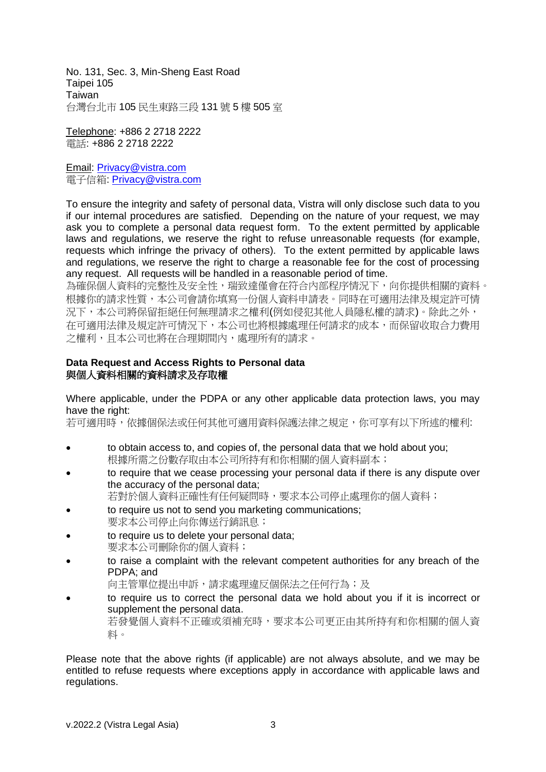No. 131, Sec. 3, Min-Sheng East Road Taipei 105 Taiwan 台灣台北市 105 民生東路三段 131 號 5 樓 505 室

Telephone: +886 2 2718 2222 電話: +886 2 2718 2222

Email: [Privacy@vistra.com](mailto:Privacy@vistra.com) 電子信箱: [Privacy@vistra.com](mailto:Privacy@vistra.com)

To ensure the integrity and safety of personal data, Vistra will only disclose such data to you if our internal procedures are satisfied. Depending on the nature of your request, we may ask you to complete a personal data request form. To the extent permitted by applicable laws and regulations, we reserve the right to refuse unreasonable requests (for example, requests which infringe the privacy of others). To the extent permitted by applicable laws and regulations, we reserve the right to charge a reasonable fee for the cost of processing any request. All requests will be handled in a reasonable period of time.

為確保個人資料的完整性及安全性,瑞致達僅會在符合內部程序情況下,向你提供相關的資料。 根據你的請求性質,本公司會請你填寫一份個人資料申請表。同時在可適用法律及規定許可情 況下,本公司將保留拒絕任何無理請求之權利(例如侵犯其他人員隱私權的請求)。除此之外, 在可適用法律及規定許可情況下,本公司也將根據處理任何請求的成本,而保留收取合力費用 之權利,且本公司也將在合理期間內,處理所有的請求。

# **Data Request and Access Rights to Personal data** 與個人資料相關的資料請求及存取權

Where applicable, under the PDPA or any other applicable data protection laws, you may have the right:

若可適用時,依據個保法或任何其他可適用資料保護法律之規定,你可享有以下所述的權利:

- to obtain access to, and copies of, the personal data that we hold about you; 根據所需之份數存取由本公司所持有和你相關的個人資料副本;
- to require that we cease processing your personal data if there is any dispute over the accuracy of the personal data;

若對於個人資料正確性有任何疑問時,要求本公司停止處理你的個人資料;

- to require us not to send you marketing communications; 要求本公司停止向你傳送行銷訊息;
- to require us to delete your personal data; 要求本公司刪除你的個人資料;
- to raise a complaint with the relevant competent authorities for any breach of the PDPA; and

向主管單位提出申訴,請求處理違反個保法之任何行為;及

• to require us to correct the personal data we hold about you if it is incorrect or supplement the personal data. 若發覺個人資料不正確或須補充時,要求本公司更正由其所持有和你相關的個人資 料。

Please note that the above rights (if applicable) are not always absolute, and we may be entitled to refuse requests where exceptions apply in accordance with applicable laws and regulations.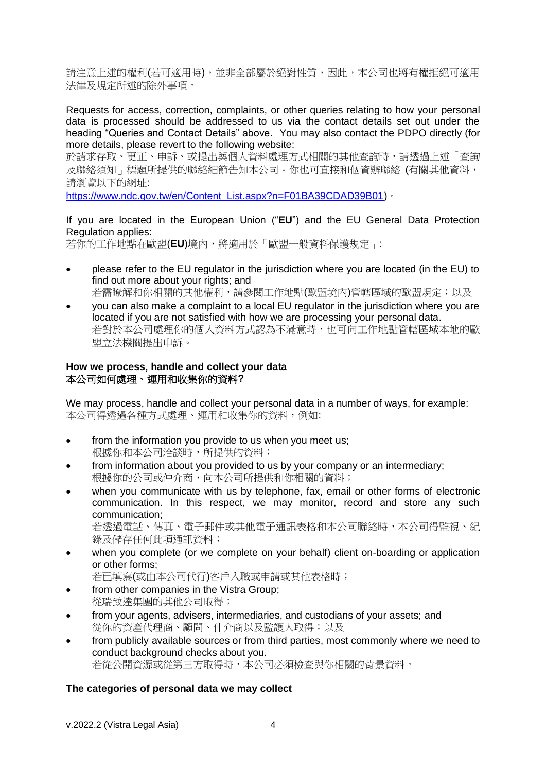請注意上述的權利(若可適用時),並非全部屬於絕對性質,因此,本公司也將有權拒絕可適用 法律及規定所述的除外事項。

Requests for access, correction, complaints, or other queries relating to how your personal data is processed should be addressed to us via the contact details set out under the heading "Queries and Contact Details" above. You may also contact the PDPO directly (for more details, please revert to the following website:

於請求存取、更正、申訴、或提出與個人資料處理方式相關的其他查詢時,請透過上述「查詢 及聯絡須知」標題所提供的聯絡細節告知本公司。你也可直接和個資辦聯絡 (有關其他資料, 請瀏覽以下的網址:

[https://www.ndc.gov.tw/en/Content\\_List.aspx?n=F01BA39CDAD39B01\)](https://www.ndc.gov.tw/en/Content_List.aspx?n=F01BA39CDAD39B01)。

If you are located in the European Union ("**EU**") and the EU General Data Protection Regulation applies:

若你的工作地點在歐盟(**EU**)境內,將適用於「歐盟一般資料保護規定」:

- please refer to the EU regulator in the jurisdiction where you are located (in the EU) to find out more about your rights; and 若需瞭解和你相關的其他權利,請參閱工作地點(歐盟境內)管轄區域的歐盟規定;以及
- you can also make a complaint to a local EU regulator in the jurisdiction where you are located if you are not satisfied with how we are processing your personal data. 若對於本公司處理你的個人資料方式認為不滿意時,也可向工作地點管轄區域本地的歐 盟立法機關提出申訴。

# **How we process, handle and collect your data** 本公司如何處理、運用和收集你的資料**?**

We may process, handle and collect your personal data in a number of ways, for example: 本公司得透過各種方式處理、運用和收集你的資料,例如:

- from the information you provide to us when you meet us; 根據你和本公司洽談時,所提供的資料;
- from information about you provided to us by your company or an intermediary; 根據你的公司或仲介商,向本公司所提供和你相關的資料;
- when you communicate with us by telephone, fax, email or other forms of electronic communication. In this respect, we may monitor, record and store any such communication;

若透過電話、傳真、電子郵件或其他電子通訊表格和本公司聯絡時,本公司得監視、紀 錄及儲存任何此項通訊資料;

• when you complete (or we complete on your behalf) client on-boarding or application or other forms;

若已填寫(或由本公司代行)客戶入職或申請或其他表格時;

- from other companies in the Vistra Group; 從瑞致達集團的其他公司取得;
- from your agents, advisers, intermediaries, and custodians of your assets; and 從你的資產代理商、顧問、仲介商以及監護人取得;以及
- from publicly available sources or from third parties, most commonly where we need to conduct background checks about you. 若從公開資源或從第三方取得時,本公司必須檢查與你相關的背景資料。

# **The categories of personal data we may collect**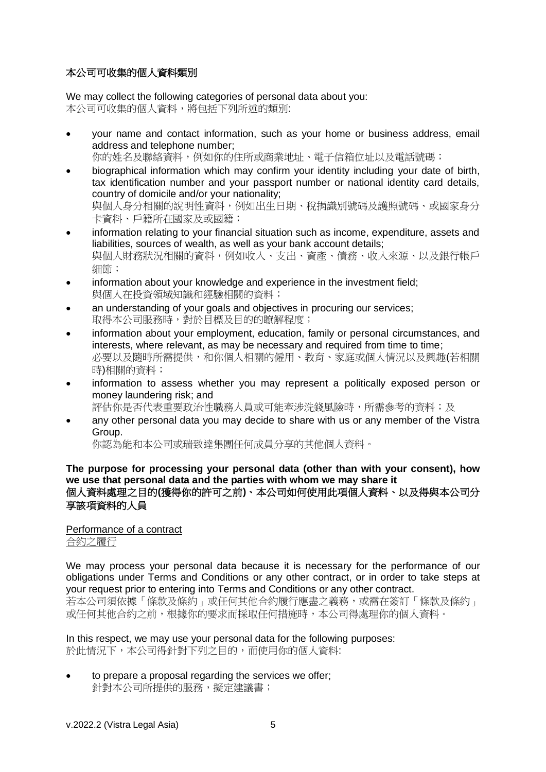# 本公司可收集的個人資料類別

We may collect the following categories of personal data about you: 本公司可收集的個人資料,將包括下列所述的類別:

• your name and contact information, such as your home or business address, email address and telephone number;

你的姓名及聯絡資料,例如你的住所或商業地址、電子信箱位址以及電話號碼;

- biographical information which may confirm your identity including your date of birth, tax identification number and your passport number or national identity card details, country of domicile and/or your nationality; 與個人身分相關的說明性資料,例如出生日期、稅捐識別號碼及護照號碼、或國家身分 卡資料、戶籍所在國家及或國籍;
- information relating to your financial situation such as income, expenditure, assets and liabilities, sources of wealth, as well as your bank account details; 與個人財務狀況相關的資料,例如收入、支出、資產、債務、收入來源、以及銀行帳戶 細節;
- information about your knowledge and experience in the investment field; 與個人在投資領域知識和經驗相關的資料;
- an understanding of your goals and objectives in procuring our services; 取得本公司服務時,對於目標及目的的瞭解程度;
- information about your employment, education, family or personal circumstances, and interests, where relevant, as may be necessary and required from time to time; 必要以及隨時所需提供,和你個人相關的僱用、教育、家庭或個人情況以及興趣(若相關 時)相關的資料;
- information to assess whether you may represent a politically exposed person or money laundering risk; and
	- 評估你是否代表重要政治性職務人員或可能牽涉洗錢風險時,所需參考的資料;及
- any other personal data you may decide to share with us or any member of the Vistra Group.

你認為能和本公司或瑞致達集團任何成員分享的其他個人資料。

## **The purpose for processing your personal data (other than with your consent), how we use that personal data and the parties with whom we may share it**  個人資料處理之目的**(**獲得你的許可之前**)**、本公司如何使用此項個人資料、以及得與本公司分 享該項資料的人員

# Performance of a contract

合約之履行

We may process your personal data because it is necessary for the performance of our obligations under Terms and Conditions or any other contract, or in order to take steps at your request prior to entering into Terms and Conditions or any other contract. 若本公司須依據「條款及條約」或任何其他合約履行應盡之義務,或需在簽訂「條款及條約」 或任何其他合約之前,根據你的要求而採取任何措施時,本公司得處理你的個人資料。

In this respect, we may use your personal data for the following purposes: 於此情況下,本公司得針對下列之目的,而使用你的個人資料:

• to prepare a proposal regarding the services we offer; 針對本公司所提供的服務,擬定建議書;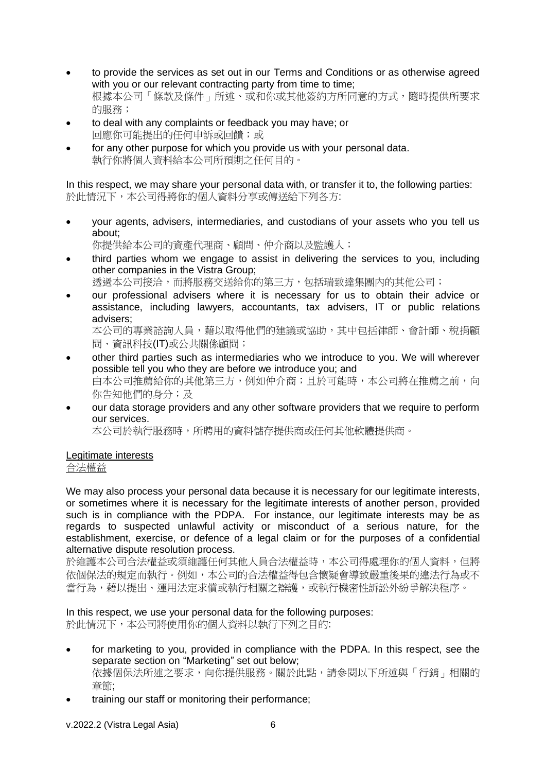- to provide the services as set out in our Terms and Conditions or as otherwise agreed with you or our relevant contracting party from time to time; 根據本公司「條款及條件」所述、或和你或其他簽約方所同意的方式,隨時提供所要求 的服務;
- to deal with any complaints or feedback you may have; or 回應你可能提出的任何申訴或回饋;或
- for any other purpose for which you provide us with your personal data. 執行你將個人資料給本公司所預期之任何目的。

In this respect, we may share your personal data with, or transfer it to, the following parties: 於此情況下,本公司得將你的個人資料分享或傳送給下列各方:

- your agents, advisers, intermediaries, and custodians of your assets who you tell us about;
	- 你提供給本公司的資產代理商、顧問、仲介商以及監護人;
- third parties whom we engage to assist in delivering the services to you, including other companies in the Vistra Group; 透過本公司接洽,而將服務交送給你的第三方,包括瑞致達集團內的其他公司;
- our professional advisers where it is necessary for us to obtain their advice or assistance, including lawyers, accountants, tax advisers, IT or public relations advisers;

本公司的專業諮詢人員,藉以取得他們的建議或協助,其中包括律師、會計師、稅捐顧 問、資訊科技(IT)或公共關係顧問;

- other third parties such as intermediaries who we introduce to you. We will wherever possible tell you who they are before we introduce you; and 由本公司推薦給你的其他第三方,例如仲介商;且於可能時,本公司將在推薦之前,向 你告知他們的身分;及
- our data storage providers and any other software providers that we require to perform our services.

本公司於執行服務時,所聘用的資料儲存提供商或任何其他軟體提供商。

# Legitimate interests

合法權益

We may also process your personal data because it is necessary for our legitimate interests, or sometimes where it is necessary for the legitimate interests of another person, provided such is in compliance with the PDPA. For instance, our legitimate interests may be as regards to suspected unlawful activity or misconduct of a serious nature, for the establishment, exercise, or defence of a legal claim or for the purposes of a confidential alternative dispute resolution process.

於維護本公司合法權益或須維護任何其他人員合法權益時,本公司得處理你的個人資料,但將 依個保法的規定而執行。例如,本公司的合法權益得包含懷疑會導致嚴重後果的違法行為或不 當行為,藉以提出、運用法定求償或執行相關之辯護,或執行機密性訴訟外紛爭解決程序。

In this respect, we use your personal data for the following purposes:

於此情況下,本公司將使用你的個人資料以執行下列之目的:

- for marketing to you, provided in compliance with the PDPA. In this respect, see the separate section on "Marketing" set out below; 依據個保法所述之要求,向你提供服務。關於此點,請參閱以下所述與「行銷」相關的 章節;
- training our staff or monitoring their performance;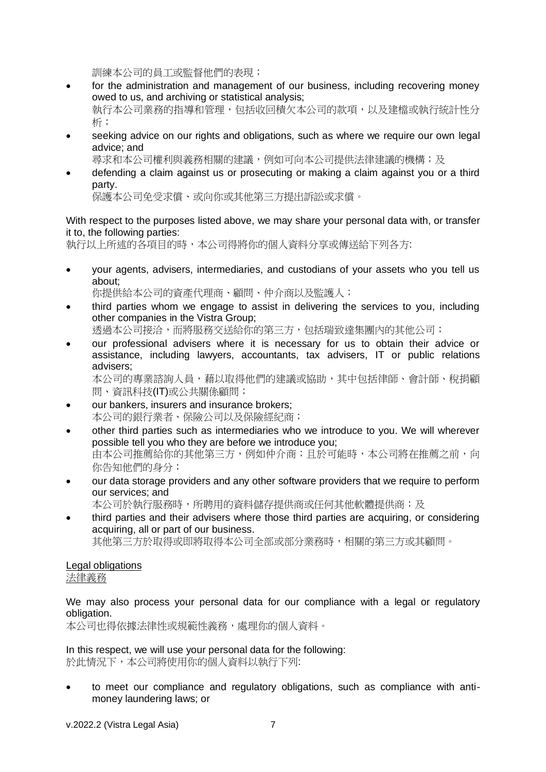訓練本公司的員工或監督他們的表現;

- for the administration and management of our business, including recovering money owed to us, and archiving or statistical analysis; 執行本公司業務的指導和管理,包括收回積欠本公司的款項,以及建檔或執行統計性分 析;
- seeking advice on our rights and obligations, such as where we require our own legal advice; and

尋求和本公司權利與義務相關的建議,例如可向本公司提供法律建議的機構;及

• defending a claim against us or prosecuting or making a claim against you or a third party.

保護本公司免受求償、或向你或其他第三方提出訴訟或求償。

# With respect to the purposes listed above, we may share your personal data with, or transfer it to, the following parties:

執行以上所述的各項目的時,本公司得將你的個人資料分享或傳送給下列各方:

• your agents, advisers, intermediaries, and custodians of your assets who you tell us about;

你提供給本公司的資產代理商、顧問、仲介商以及監護人;

• third parties whom we engage to assist in delivering the services to you, including other companies in the Vistra Group;

透過本公司接洽,而將服務交送給你的第三方,包括瑞致達集團內的其他公司;

• our professional advisers where it is necessary for us to obtain their advice or assistance, including lawyers, accountants, tax advisers, IT or public relations advisers;

本公司的專業諮詢人員,藉以取得他們的建議或協助,其中包括律師、會計師、稅捐顧 問、資訊科技(IT)或公共關係顧問;

- our bankers, insurers and insurance brokers; 本公司的銀行業者、保險公司以及保險經紀商;
- other third parties such as intermediaries who we introduce to you. We will wherever possible tell you who they are before we introduce you; 由本公司推薦給你的其他第三方,例如仲介商;且於可能時,本公司將在推薦之前,向 你告知他們的身分;
- our data storage providers and any other software providers that we require to perform our services; and
	- 本公司於執行服務時,所聘用的資料儲存提供商或任何其他軟體提供商;及
- third parties and their advisers where those third parties are acquiring, or considering acquiring, all or part of our business.

其他第三方於取得或即將取得本公司全部或部分業務時,相關的第三方或其顧問。

## Legal obligations 法律義務

We may also process your personal data for our compliance with a legal or regulatory obligation.

本公司也得依據法律性或規範性義務,處理你的個人資料。

In this respect, we will use your personal data for the following: 於此情況下,本公司將使用你的個人資料以執行下列:

• to meet our compliance and regulatory obligations, such as compliance with antimoney laundering laws; or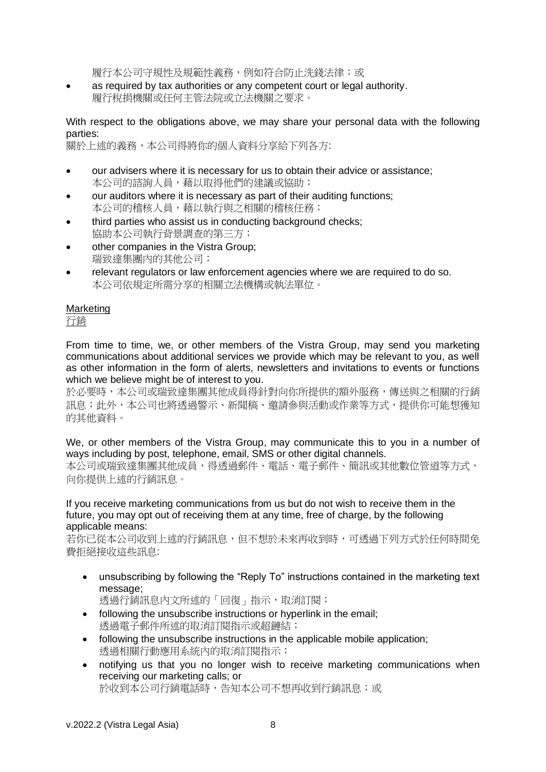履行本公司守規性及規範性義務,例如符合防止洗錢法律;或

• as required by tax authorities or any competent court or legal authority. 履行稅捐機關或任何主管法院或立法機關之要求。

With respect to the obligations above, we may share your personal data with the following parties:

關於上述的義務,本公司得將你的個人資料分享給下列各方:

- our advisers where it is necessary for us to obtain their advice or assistance; 本公司的諮詢人員,藉以取得他們的建議或協助;
- our auditors where it is necessary as part of their auditing functions; 本公司的稽核人員,藉以執行與之相關的稽核任務;
- third parties who assist us in conducting background checks: 協助本公司執行背景調查的第三方;
- other companies in the Vistra Group; 瑞致達集團內的其他公司;
- relevant regulators or law enforcement agencies where we are required to do so. 本公司依規定所需分享的相關立法機構或執法單位。

# **Marketing**

行銷

From time to time, we, or other members of the Vistra Group, may send you marketing communications about additional services we provide which may be relevant to you, as well as other information in the form of alerts, newsletters and invitations to events or functions which we believe might be of interest to you.

於必要時,本公司或瑞致達集團其他成員得針對向你所提供的額外服務,傳送與之相關的行銷 訊息;此外,本公司也將透過警示、新聞稿、邀請參與活動或作業等方式,提供你可能想獲知 的其他資料。

We, or other members of the Vistra Group, may communicate this to you in a number of ways including by post, telephone, email, SMS or other digital channels.

本公司或瑞致達集團其他成員,得透過郵件、電話、電子郵件、簡訊或其他數位管道等方式, 向你提供上述的行銷訊息。

If you receive marketing communications from us but do not wish to receive them in the future, you may opt out of receiving them at any time, free of charge, by the following applicable means:

若你已從本公司收到上述的行銷訊息,但不想於未來再收到時,可透過下列方式於任何時間免 費拒絕接收這些訊息:

• unsubscribing by following the "Reply To" instructions contained in the marketing text message:

透過行銷訊息內文所述的「回復」指示,取消訂閱;

- following the unsubscribe instructions or hyperlink in the email; 透過電子郵件所述的取消訂閱指示或超鏈結;
- following the unsubscribe instructions in the applicable mobile application; 透過相關行動應用系統內的取消訂閱指示;
- notifying us that you no longer wish to receive marketing communications when receiving our marketing calls; or 於收到本公司行銷電話時,告知本公司不想再收到行銷訊息;或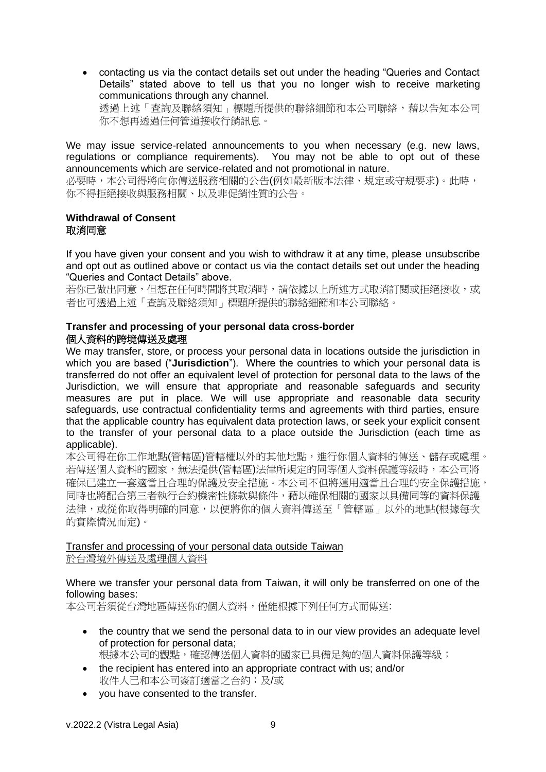• contacting us via the contact details set out under the heading "Queries and Contact Details" stated above to tell us that you no longer wish to receive marketing communications through any channel. 透過上述「查詢及聯絡須知」標題所提供的聯絡細節和本公司聯絡,藉以告知本公司 你不想再透過任何管道接收行銷訊息。

We may issue service-related announcements to you when necessary (e.g. new laws, regulations or compliance requirements). You may not be able to opt out of these announcements which are service-related and not promotional in nature.

必要時,本公司得將向你傳送服務相關的公告(例如最新版本法律、規定或守規要求)。此時, 你不得拒絕接收與服務相關、以及非促銷性質的公告。

#### **Withdrawal of Consent** 取消同意

If you have given your consent and you wish to withdraw it at any time, please unsubscribe and opt out as outlined above or contact us via the contact details set out under the heading "Queries and Contact Details" above.

若你已做出同意,但想在任何時間將其取消時,請依據以上所述方式取消訂閱或拒絕接收,或 者也可透過上述「查詢及聯絡須知」標題所提供的聯絡細節和本公司聯絡。

# **Transfer and processing of your personal data cross-border** 個人資料的跨境傳送及處理

We may transfer, store, or process your personal data in locations outside the jurisdiction in which you are based ("**Jurisdiction**"). Where the countries to which your personal data is transferred do not offer an equivalent level of protection for personal data to the laws of the Jurisdiction, we will ensure that appropriate and reasonable safeguards and security measures are put in place. We will use appropriate and reasonable data security safeguards, use contractual confidentiality terms and agreements with third parties, ensure that the applicable country has equivalent data protection laws, or seek your explicit consent to the transfer of your personal data to a place outside the Jurisdiction (each time as applicable).

本公司得在你工作地點(管轄區)管轄權以外的其他地點,進行你個人資料的傳送、儲存或處理。 若傳送個人資料的國家,無法提供(管轄區)法律所規定的同等個人資料保護等級時,本公司將 確保已建立一套適當且合理的保護及安全措施。本公司不但將運用適當且合理的安全保護措施, 同時也將配合第三者執行合約機密性條款與條件,藉以確保相關的國家以具備同等的資料保護 法律,或從你取得明確的同意,以便將你的個人資料傳送至「管轄區」以外的地點(根據每次 的實際情況而定)。

# Transfer and processing of your personal data outside Taiwan 於台灣境外傳送及處理個人資料

# Where we transfer your personal data from Taiwan, it will only be transferred on one of the following bases:

本公司若須從台灣地區傳送你的個人資料,僅能根據下列任何方式而傳送:

- the country that we send the personal data to in our view provides an adequate level of protection for personal data; 根據本公司的觀點,確認傳送個人資料的國家已具備足夠的個人資料保護等級;
- the recipient has entered into an appropriate contract with us: and/or 收件人已和本公司簽訂適當之合約;及/或
- you have consented to the transfer.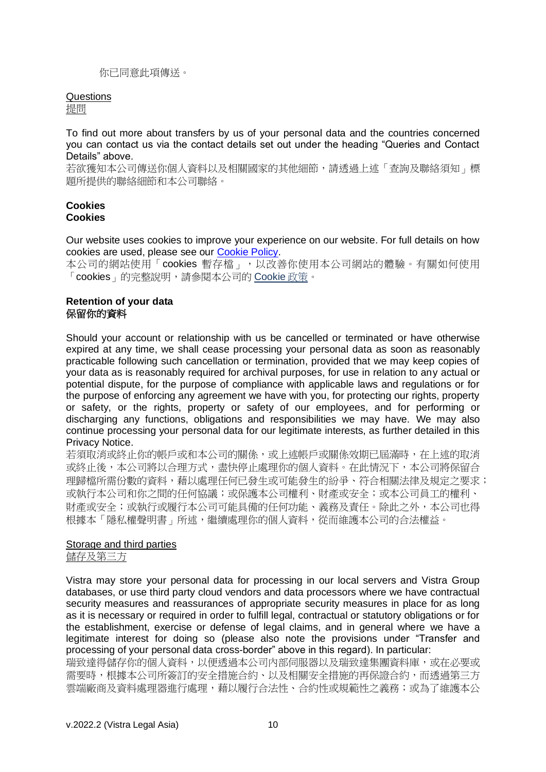#### 你已同意此項傳送。

#### Questions

提問

To find out more about transfers by us of your personal data and the countries concerned you can contact us via the contact details set out under the heading "Queries and Contact Details" above.

若欲獲知本公司傳送你個人資料以及相關國家的其他細節,請透過上述「查詢及聯絡須知」標 題所提供的聯絡細節和本公司聯絡。

#### **Cookies Cookies**

Our website uses cookies to improve your experience on our website. For full details on how cookies are used, please see our [Cookie Policy.](https://www.vistra.com/privacy)

本公司的網站使用「cookies 暫存檔」,以改善你使用本公司網站的體驗。有關如何使用 「cookies」的完整說明,請參閱本公司的 Cookie 政策。

#### **Retention of your data** 保留你的資料

Should your account or relationship with us be cancelled or terminated or have otherwise expired at any time, we shall cease processing your personal data as soon as reasonably practicable following such cancellation or termination, provided that we may keep copies of your data as is reasonably required for archival purposes, for use in relation to any actual or potential dispute, for the purpose of compliance with applicable laws and regulations or for the purpose of enforcing any agreement we have with you, for protecting our rights, property or safety, or the rights, property or safety of our employees, and for performing or discharging any functions, obligations and responsibilities we may have. We may also continue processing your personal data for our legitimate interests, as further detailed in this Privacy Notice.

若須取消或終止你的帳戶或和本公司的關係,或上述帳戶或關係效期已屆滿時,在上述的取消 或終止後,本公司將以合理方式,盡快停止處理你的個人資料。在此情況下,本公司將保留合 理歸檔所需份數的資料,藉以處理任何已發生或可能發生的紛爭、符合相關法律及規定之要求; 或執行本公司和你之間的任何協議;或保護本公司權利、財產或安全;或本公司員工的權利、 財產或安全;或執行或履行本公司可能具備的任何功能、義務及責任。除此之外,本公司也得 根據本「隱私權聲明書」所述,繼續處理你的個人資料,從而維護本公司的合法權益。

#### Storage and third parties 儲存及第三方

Vistra may store your personal data for processing in our local servers and Vistra Group databases, or use third party cloud vendors and data processors where we have contractual security measures and reassurances of appropriate security measures in place for as long as it is necessary or required in order to fulfill legal, contractual or statutory obligations or for the establishment, exercise or defense of legal claims, and in general where we have a legitimate interest for doing so (please also note the provisions under "Transfer and processing of your personal data cross-border" above in this regard). In particular:

瑞致達得儲存你的個人資料,以便透過本公司內部伺服器以及瑞致達集團資料庫,或在必要或 需要時,根據本公司所簽訂的安全措施合約、以及相關安全措施的再保證合約,而透過第三方 雲端廠商及資料處理器進行處理,藉以履行合法性、合約性或規範性之義務;或為了維護本公